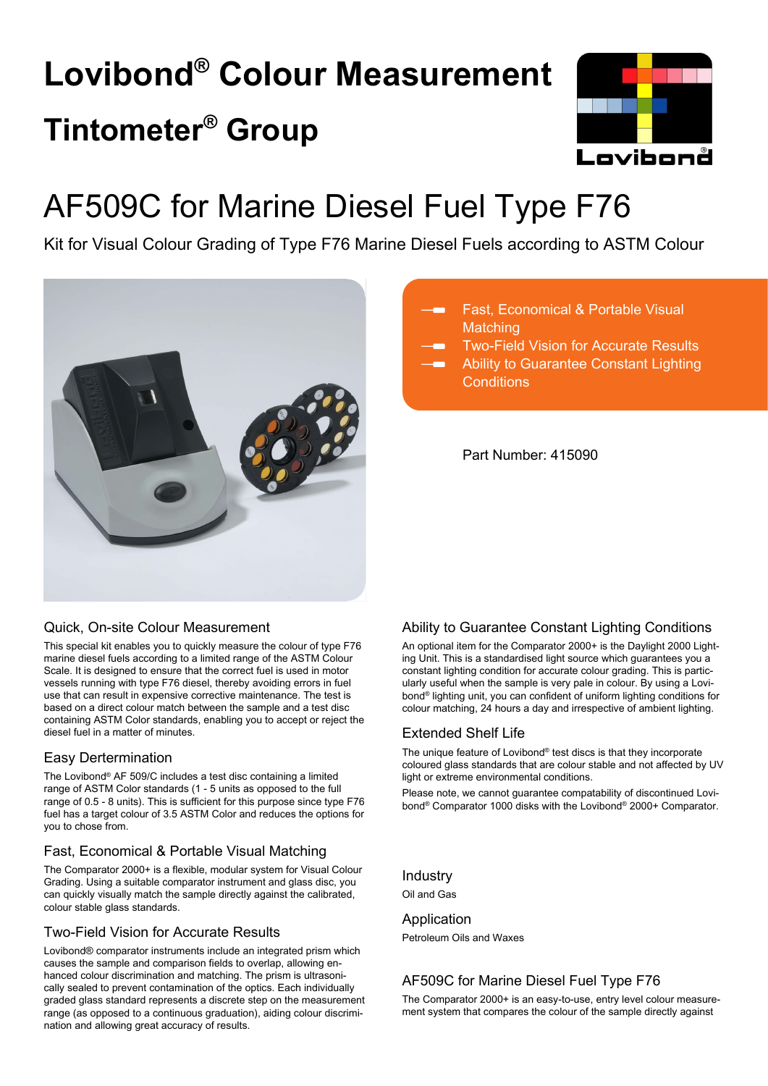# **Lovibond® Colour Measurement Tintometer® Group**



## AF509C for Marine Diesel Fuel Type F76

Kit for Visual Colour Grading of Type F76 Marine Diesel Fuels according to ASTM Colour



## Fast, Economical & Portable Visual **Matching**

Two-Field Vision for Accurate Results

Ability to Guarantee Constant Lighting **Conditions** 

Part Number: 415090

## Quick, On-site Colour Measurement

This special kit enables you to quickly measure the colour of type F76 marine diesel fuels according to a limited range of the ASTM Colour Scale. It is designed to ensure that the correct fuel is used in motor vessels running with type F76 diesel, thereby avoiding errors in fuel use that can result in expensive corrective maintenance. The test is based on a direct colour match between the sample and a test disc containing ASTM Color standards, enabling you to accept or reject the diesel fuel in a matter of minutes.

## Easy Dertermination

The Lovibond® AF 509/C includes a test disc containing a limited range of ASTM Color standards (1 - 5 units as opposed to the full range of 0.5 - 8 units). This is sufficient for this purpose since type F76 fuel has a target colour of 3.5 ASTM Color and reduces the options for you to chose from.

## Fast, Economical & Portable Visual Matching

The Comparator 2000+ is a flexible, modular system for Visual Colour Grading. Using a suitable comparator instrument and glass disc, you can quickly visually match the sample directly against the calibrated, colour stable glass standards.

## Two-Field Vision for Accurate Results

Lovibond® comparator instruments include an integrated prism which causes the sample and comparison fields to overlap, allowing enhanced colour discrimination and matching. The prism is ultrasonically sealed to prevent contamination of the optics. Each individually graded glass standard represents a discrete step on the measurement range (as opposed to a continuous graduation), aiding colour discrimination and allowing great accuracy of results.

## Ability to Guarantee Constant Lighting Conditions

An optional item for the Comparator 2000+ is the Daylight 2000 Lighting Unit. This is a standardised light source which guarantees you a constant lighting condition for accurate colour grading. This is particularly useful when the sample is very pale in colour. By using a Lovibond® lighting unit, you can confident of uniform lighting conditions for colour matching, 24 hours a day and irrespective of ambient lighting.

## Extended Shelf Life

The unique feature of Lovibond® test discs is that they incorporate coloured glass standards that are colour stable and not affected by UV light or extreme environmental conditions.

Please note, we cannot guarantee compatability of discontinued Lovibond® Comparator 1000 disks with the Lovibond® 2000+ Comparator.

Industry

Oil and Gas

Application Petroleum Oils and Waxes

## AF509C for Marine Diesel Fuel Type F76

The Comparator 2000+ is an easy-to-use, entry level colour measurement system that compares the colour of the sample directly against